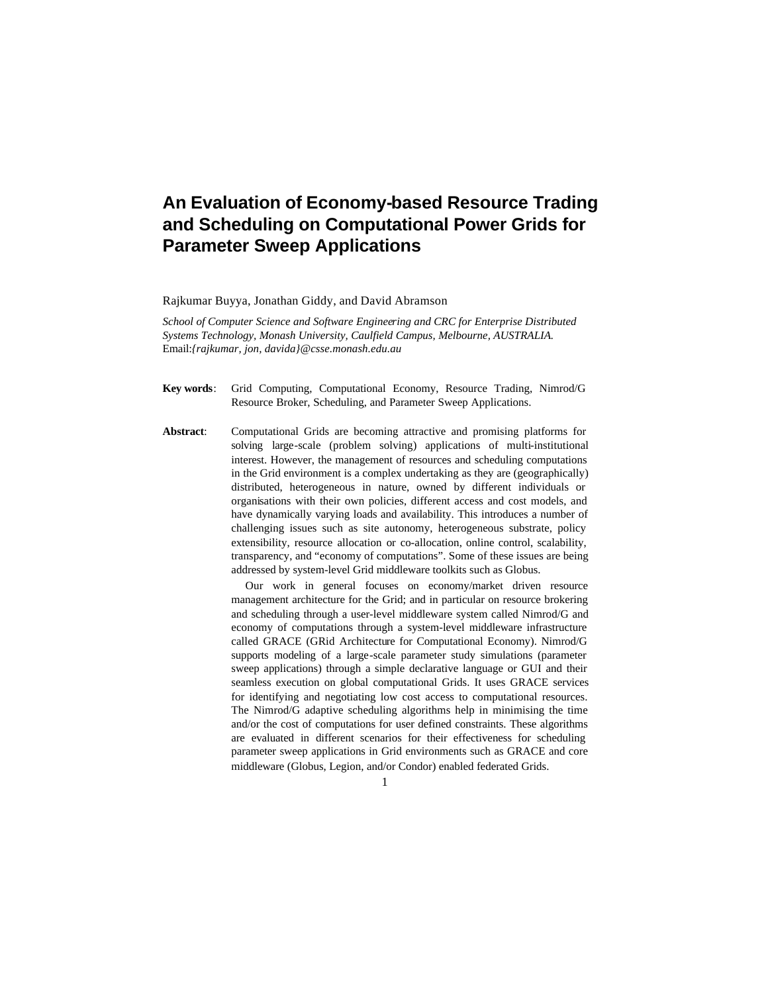# **An Evaluation of Economy-based Resource Trading and Scheduling on Computational Power Grids for Parameter Sweep Applications**

Rajkumar Buyya, Jonathan Giddy, and David Abramson

*School of Computer Science and Software Engineering and CRC for Enterprise Distributed Systems Technology, Monash University, Caulfield Campus, Melbourne, AUSTRALIA.*  Email:*{rajkumar, jon, davida}@csse.monash.edu.au*

**Key words**: Grid Computing, Computational Economy, Resource Trading, Nimrod/G Resource Broker, Scheduling, and Parameter Sweep Applications.

**Abstract**: Computational Grids are becoming attractive and promising platforms for solving large-scale (problem solving) applications of multi-institutional interest. However, the management of resources and scheduling computations in the Grid environment is a complex undertaking as they are (geographically) distributed, heterogeneous in nature, owned by different individuals or organisations with their own policies, different access and cost models, and have dynamically varying loads and availability. This introduces a number of challenging issues such as site autonomy, heterogeneous substrate, policy extensibility, resource allocation or co-allocation, online control, scalability, transparency, and "economy of computations". Some of these issues are being addressed by system-level Grid middleware toolkits such as Globus.

> Our work in general focuses on economy/market driven resource management architecture for the Grid; and in particular on resource brokering and scheduling through a user-level middleware system called Nimrod/G and economy of computations through a system-level middleware infrastructure called GRACE (GRid Architecture for Computational Economy). Nimrod/G supports modeling of a large-scale parameter study simulations (parameter sweep applications) through a simple declarative language or GUI and their seamless execution on global computational Grids. It uses GRACE services for identifying and negotiating low cost access to computational resources. The Nimrod/G adaptive scheduling algorithms help in minimising the time and/or the cost of computations for user defined constraints. These algorithms are evaluated in different scenarios for their effectiveness for scheduling parameter sweep applications in Grid environments such as GRACE and core middleware (Globus, Legion, and/or Condor) enabled federated Grids.

> > 1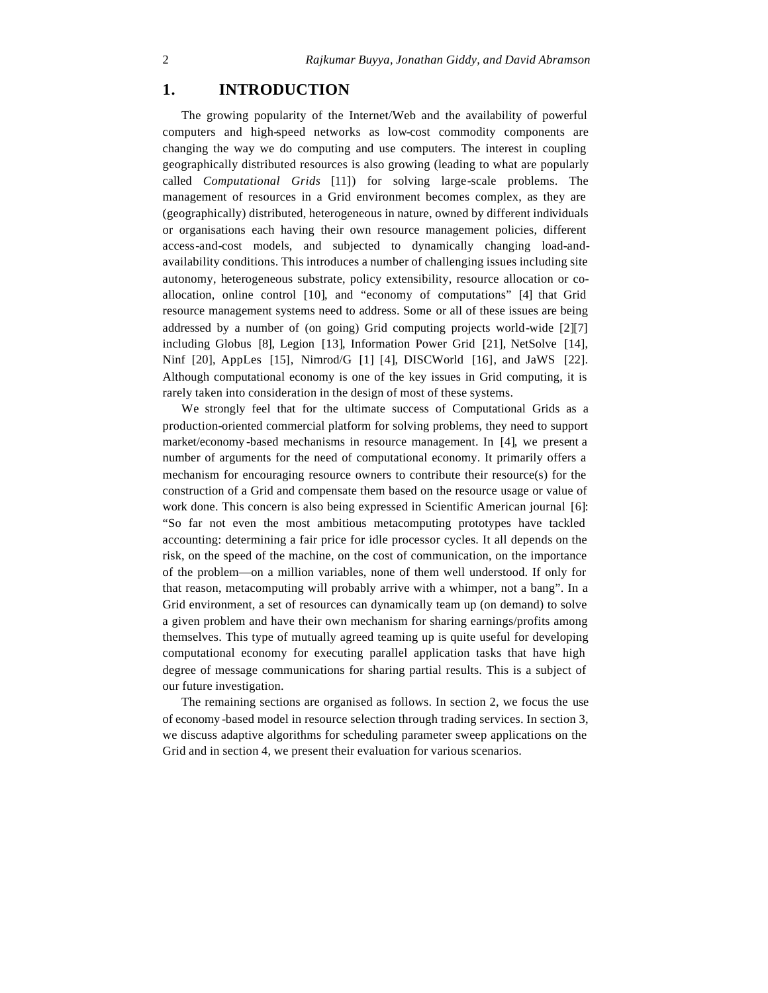### **1. INTRODUCTION**

The growing popularity of the Internet/Web and the availability of powerful computers and high-speed networks as low-cost commodity components are changing the way we do computing and use computers. The interest in coupling geographically distributed resources is also growing (leading to what are popularly called *Computational Grids* [11]) for solving large-scale problems. The management of resources in a Grid environment becomes complex, as they are (geographically) distributed, heterogeneous in nature, owned by different individuals or organisations each having their own resource management policies, different access-and-cost models, and subjected to dynamically changing load-andavailability conditions. This introduces a number of challenging issues including site autonomy, heterogeneous substrate, policy extensibility, resource allocation or coallocation, online control [10], and "economy of computations" [4] that Grid resource management systems need to address. Some or all of these issues are being addressed by a number of (on going) Grid computing projects world-wide [2][7] including Globus [8], Legion [13], Information Power Grid [21], NetSolve [14], Ninf [20], AppLes [15], Nimrod/G [1] [4], DISCWorld [16], and JaWS [22]. Although computational economy is one of the key issues in Grid computing, it is rarely taken into consideration in the design of most of these systems.

We strongly feel that for the ultimate success of Computational Grids as a production-oriented commercial platform for solving problems, they need to support market/economy -based mechanisms in resource management. In [4], we present a number of arguments for the need of computational economy. It primarily offers a mechanism for encouraging resource owners to contribute their resource(s) for the construction of a Grid and compensate them based on the resource usage or value of work done. This concern is also being expressed in Scientific American journal [6]: "So far not even the most ambitious metacomputing prototypes have tackled accounting: determining a fair price for idle processor cycles. It all depends on the risk, on the speed of the machine, on the cost of communication, on the importance of the problem—on a million variables, none of them well understood. If only for that reason, metacomputing will probably arrive with a whimper, not a bang". In a Grid environment, a set of resources can dynamically team up (on demand) to solve a given problem and have their own mechanism for sharing earnings/profits among themselves. This type of mutually agreed teaming up is quite useful for developing computational economy for executing parallel application tasks that have high degree of message communications for sharing partial results. This is a subject of our future investigation.

The remaining sections are organised as follows. In section 2, we focus the use of economy -based model in resource selection through trading services. In section 3, we discuss adaptive algorithms for scheduling parameter sweep applications on the Grid and in section 4, we present their evaluation for various scenarios.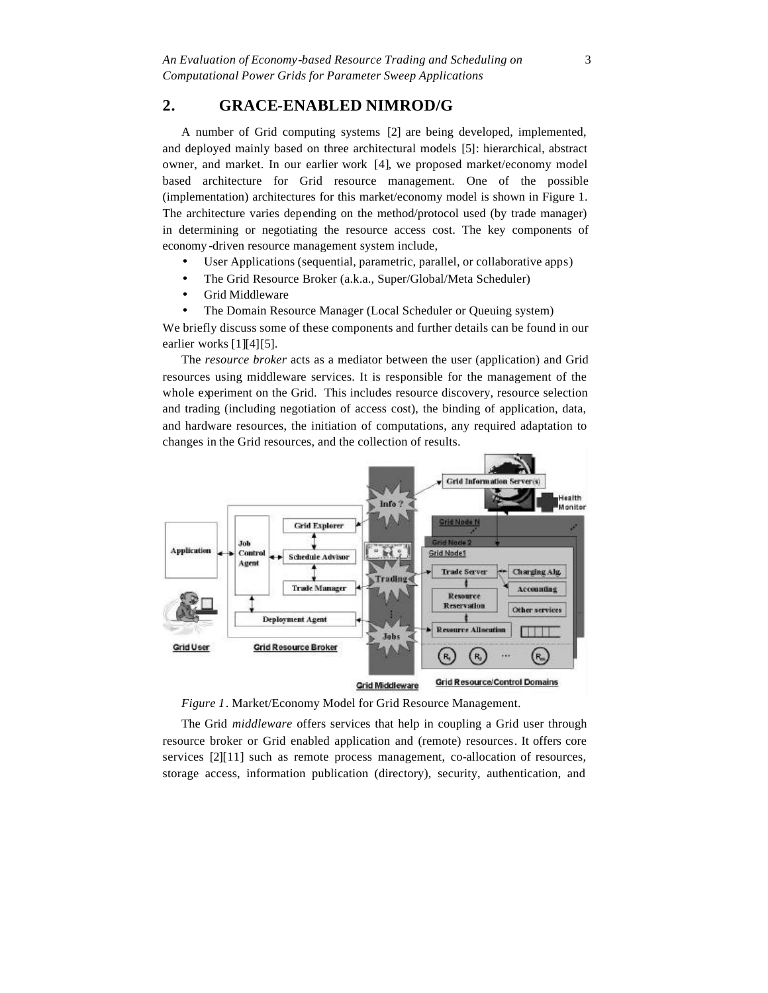## **2. GRACE-ENABLED NIMROD/G**

A number of Grid computing systems [2] are being developed, implemented, and deployed mainly based on three architectural models [5]: hierarchical, abstract owner, and market. In our earlier work [4], we proposed market/economy model based architecture for Grid resource management. One of the possible (implementation) architectures for this market/economy model is shown in Figure 1. The architecture varies depending on the method/protocol used (by trade manager) in determining or negotiating the resource access cost. The key components of economy -driven resource management system include,

- User Applications (sequential, parametric, parallel, or collaborative apps)
- The Grid Resource Broker (a.k.a., Super/Global/Meta Scheduler)
- Grid Middleware
- The Domain Resource Manager (Local Scheduler or Queuing system)

We briefly discuss some of these components and further details can be found in our earlier works [1][4][5].

The *resource broker* acts as a mediator between the user (application) and Grid resources using middleware services. It is responsible for the management of the whole experiment on the Grid. This includes resource discovery, resource selection and trading (including negotiation of access cost), the binding of application, data, and hardware resources, the initiation of computations, any required adaptation to changes in the Grid resources, and the collection of results.





The Grid *middleware* offers services that help in coupling a Grid user through resource broker or Grid enabled application and (remote) resources. It offers core services [2][11] such as remote process management, co-allocation of resources, storage access, information publication (directory), security, authentication, and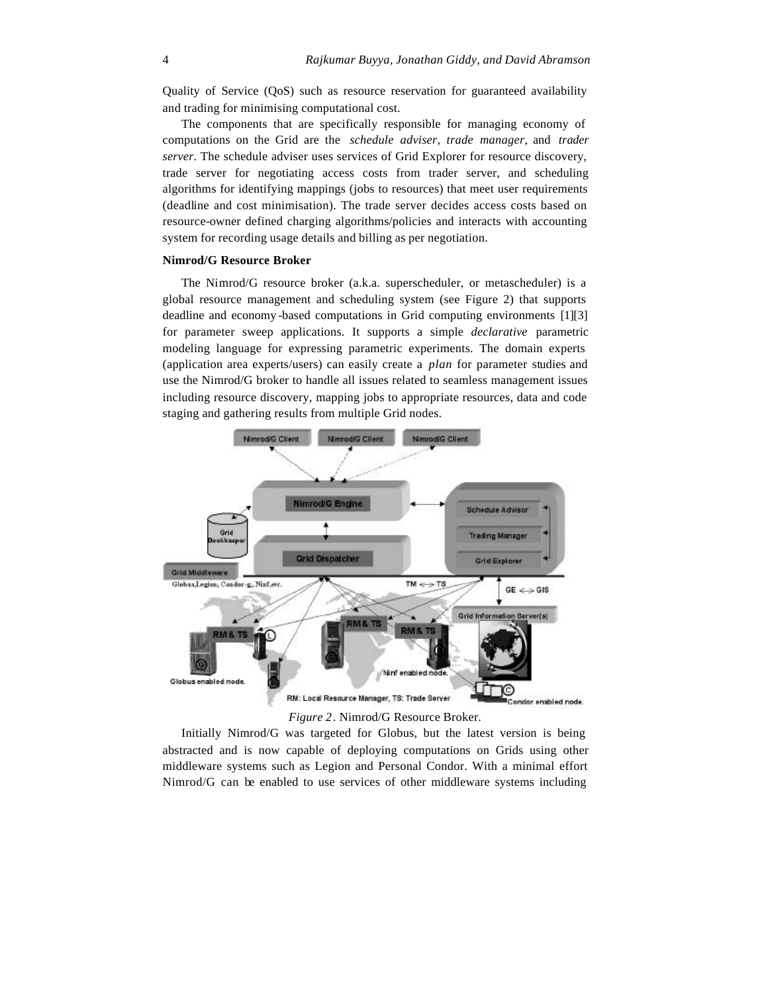Quality of Service (QoS) such as resource reservation for guaranteed availability and trading for minimising computational cost.

The components that are specifically responsible for managing economy of computations on the Grid are the *schedule adviser*, *trade manager*, and *trader server*. The schedule adviser uses services of Grid Explorer for resource discovery, trade server for negotiating access costs from trader server, and scheduling algorithms for identifying mappings (jobs to resources) that meet user requirements (deadline and cost minimisation). The trade server decides access costs based on resource-owner defined charging algorithms/policies and interacts with accounting system for recording usage details and billing as per negotiation.

#### **Nimrod/G Resource Broker**

The Nimrod/G resource broker (a.k.a. superscheduler, or metascheduler) is a global resource management and scheduling system (see Figure 2) that supports deadline and economy -based computations in Grid computing environments [1][3] for parameter sweep applications. It supports a simple *declarative* parametric modeling language for expressing parametric experiments. The domain experts (application area experts/users) can easily create a *plan* for parameter studies and use the Nimrod/G broker to handle all issues related to seamless management issues including resource discovery, mapping jobs to appropriate resources, data and code staging and gathering results from multiple Grid nodes.



#### *Figure 2*. Nimrod/G Resource Broker.

Initially Nimrod/G was targeted for Globus, but the latest version is being abstracted and is now capable of deploying computations on Grids using other middleware systems such as Legion and Personal Condor. With a minimal effort Nimrod/G can be enabled to use services of other middleware systems including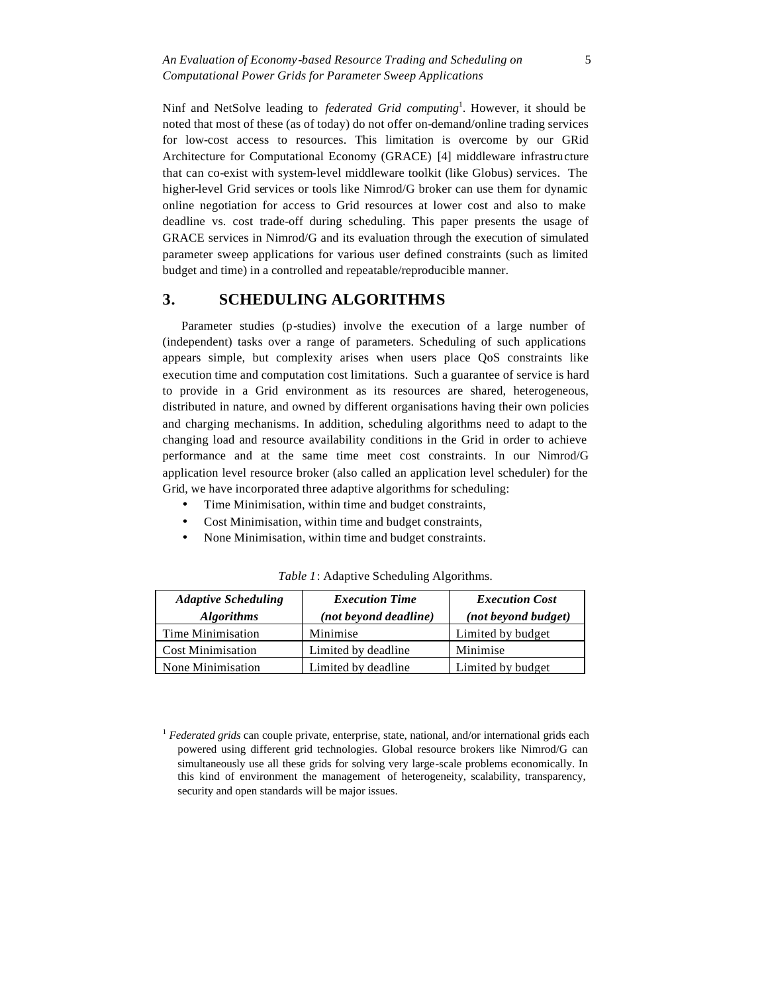Ninf and NetSolve leading to *federated Grid computing*<sup>1</sup> . However, it should be noted that most of these (as of today) do not offer on-demand/online trading services for low-cost access to resources. This limitation is overcome by our GRid Architecture for Computational Economy (GRACE) [4] middleware infrastructure that can co-exist with system-level middleware toolkit (like Globus) services. The higher-level Grid services or tools like Nimrod/G broker can use them for dynamic online negotiation for access to Grid resources at lower cost and also to make deadline vs. cost trade-off during scheduling. This paper presents the usage of GRACE services in Nimrod/G and its evaluation through the execution of simulated parameter sweep applications for various user defined constraints (such as limited budget and time) in a controlled and repeatable/reproducible manner.

# **3. SCHEDULING ALGORITHMS**

Parameter studies (p-studies) involve the execution of a large number of (independent) tasks over a range of parameters. Scheduling of such applications appears simple, but complexity arises when users place QoS constraints like execution time and computation cost limitations. Such a guarantee of service is hard to provide in a Grid environment as its resources are shared, heterogeneous, distributed in nature, and owned by different organisations having their own policies and charging mechanisms. In addition, scheduling algorithms need to adapt to the changing load and resource availability conditions in the Grid in order to achieve performance and at the same time meet cost constraints. In our Nimrod/G application level resource broker (also called an application level scheduler) for the Grid, we have incorporated three adaptive algorithms for scheduling:

- Time Minimisation, within time and budget constraints,
- Cost Minimisation, within time and budget constraints,
- None Minimisation, within time and budget constraints.

| <b>Adaptive Scheduling</b> | <b>Execution Time</b> | <b>Execution Cost</b> |  |
|----------------------------|-----------------------|-----------------------|--|
| <b>Algorithms</b>          | (not beyond deadline) | (not beyond budget)   |  |
| Time Minimisation          | Minimise              | Limited by budget     |  |
| <b>Cost Minimisation</b>   | Limited by deadline   | Minimise              |  |
| None Minimisation          | Limited by deadline   | Limited by budget     |  |

*Table 1*: Adaptive Scheduling Algorithms.

<sup>1</sup> *Federated grids* can couple private, enterprise, state, national, and/or international grids each powered using different grid technologies. Global resource brokers like Nimrod/G can simultaneously use all these grids for solving very large-scale problems economically. In this kind of environment the management of heterogeneity, scalability, transparency, security and open standards will be major issues.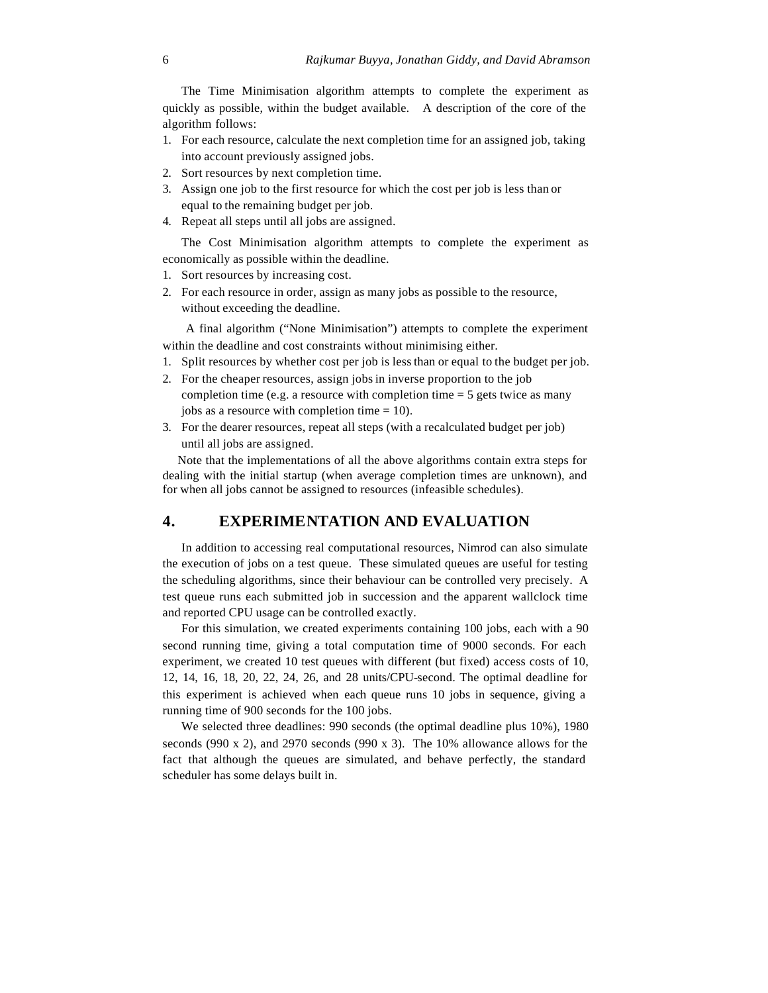The Time Minimisation algorithm attempts to complete the experiment as quickly as possible, within the budget available. A description of the core of the algorithm follows:

- 1. For each resource, calculate the next completion time for an assigned job, taking into account previously assigned jobs.
- 2. Sort resources by next completion time.
- 3. Assign one job to the first resource for which the cost per job is less than or equal to the remaining budget per job.
- 4. Repeat all steps until all jobs are assigned.

The Cost Minimisation algorithm attempts to complete the experiment as economically as possible within the deadline.

- 1. Sort resources by increasing cost.
- 2. For each resource in order, assign as many jobs as possible to the resource, without exceeding the deadline.

 A final algorithm ("None Minimisation") attempts to complete the experiment within the deadline and cost constraints without minimising either.

- 1. Split resources by whether cost per job is less than or equal to the budget per job.
- 2. For the cheaper resources, assign jobs in inverse proportion to the job completion time (e.g. a resource with completion time  $= 5$  gets twice as many jobs as a resource with completion time = 10).
- 3. For the dearer resources, repeat all steps (with a recalculated budget per job) until all jobs are assigned.

Note that the implementations of all the above algorithms contain extra steps for dealing with the initial startup (when average completion times are unknown), and for when all jobs cannot be assigned to resources (infeasible schedules).

#### **4. EXPERIMENTATION AND EVALUATION**

In addition to accessing real computational resources, Nimrod can also simulate the execution of jobs on a test queue. These simulated queues are useful for testing the scheduling algorithms, since their behaviour can be controlled very precisely. A test queue runs each submitted job in succession and the apparent wallclock time and reported CPU usage can be controlled exactly.

For this simulation, we created experiments containing 100 jobs, each with a 90 second running time, giving a total computation time of 9000 seconds. For each experiment, we created 10 test queues with different (but fixed) access costs of 10, 12, 14, 16, 18, 20, 22, 24, 26, and 28 units/CPU-second. The optimal deadline for this experiment is achieved when each queue runs 10 jobs in sequence, giving a running time of 900 seconds for the 100 jobs.

We selected three deadlines: 990 seconds (the optimal deadline plus 10%), 1980 seconds (990 x 2), and 2970 seconds (990 x 3). The 10% allowance allows for the fact that although the queues are simulated, and behave perfectly, the standard scheduler has some delays built in.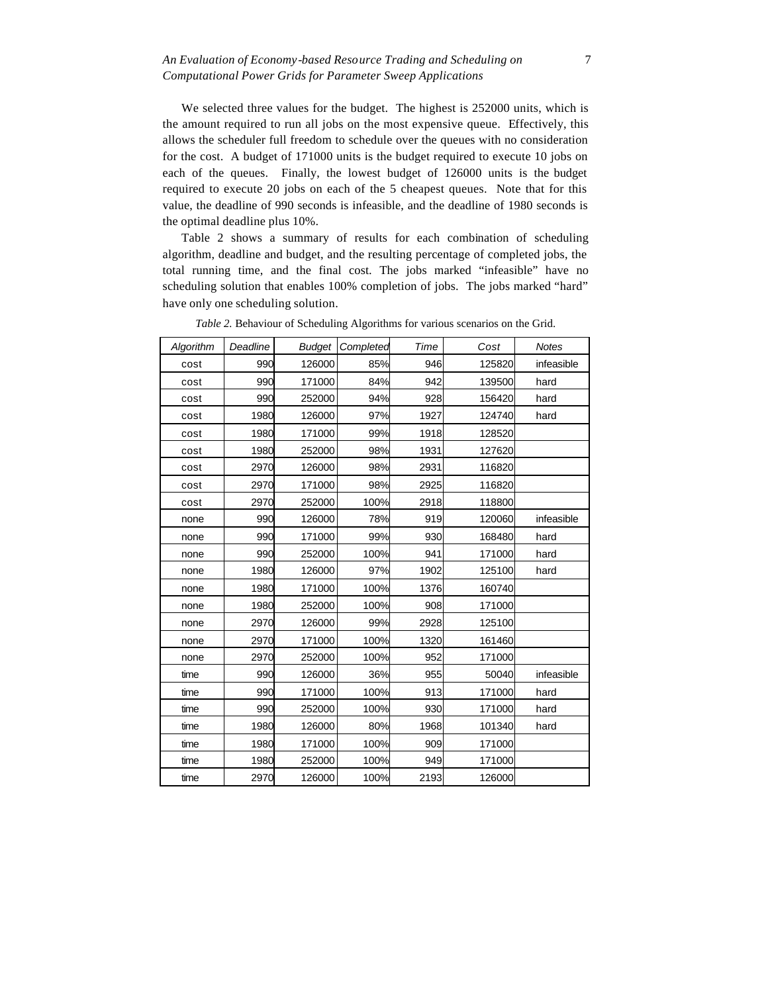#### *An Evaluation of Economy-based Resource Trading and Scheduling on Computational Power Grids for Parameter Sweep Applications*

We selected three values for the budget. The highest is 252000 units, which is the amount required to run all jobs on the most expensive queue. Effectively, this allows the scheduler full freedom to schedule over the queues with no consideration for the cost. A budget of 171000 units is the budget required to execute 10 jobs on each of the queues. Finally, the lowest budget of 126000 units is the budget required to execute 20 jobs on each of the 5 cheapest queues. Note that for this value, the deadline of 990 seconds is infeasible, and the deadline of 1980 seconds is the optimal deadline plus 10%.

Table 2 shows a summary of results for each combination of scheduling algorithm, deadline and budget, and the resulting percentage of completed jobs, the total running time, and the final cost. The jobs marked "infeasible" have no scheduling solution that enables 100% completion of jobs. The jobs marked "hard" have only one scheduling solution.

| Algorithm | Deadline | <b>Budget</b> | Completed | Time | Cost   | <b>Notes</b> |
|-----------|----------|---------------|-----------|------|--------|--------------|
| cost      | 990      | 126000        | 85%       | 946  | 125820 | infeasible   |
| cost      | 990      | 171000        | 84%       | 942  | 139500 | hard         |
| cost      | 990      | 252000        | 94%       | 928  | 156420 | hard         |
| cost      | 1980     | 126000        | 97%       | 1927 | 124740 | hard         |
| cost      | 1980     | 171000        | 99%       | 1918 | 128520 |              |
| cost      | 1980     | 252000        | 98%       | 1931 | 127620 |              |
| cost      | 2970     | 126000        | 98%       | 2931 | 116820 |              |
| cost      | 2970     | 171000        | 98%       | 2925 | 116820 |              |
| cost      | 2970     | 252000        | 100%      | 2918 | 118800 |              |
| none      | 990      | 126000        | 78%       | 919  | 120060 | infeasible   |
| none      | 990      | 171000        | 99%       | 930  | 168480 | hard         |
| none      | 990      | 252000        | 100%      | 941  | 171000 | hard         |
| none      | 1980     | 126000        | 97%       | 1902 | 125100 | hard         |
| none      | 1980     | 171000        | 100%      | 1376 | 160740 |              |
| none      | 1980     | 252000        | 100%      | 908  | 171000 |              |
| none      | 2970     | 126000        | 99%       | 2928 | 125100 |              |
| none      | 2970     | 171000        | 100%      | 1320 | 161460 |              |
| none      | 2970     | 252000        | 100%      | 952  | 171000 |              |
| time      | 990      | 126000        | 36%       | 955  | 50040  | infeasible   |
| time      | 990      | 171000        | 100%      | 913  | 171000 | hard         |
| time      | 990      | 252000        | 100%      | 930  | 171000 | hard         |
| time      | 1980     | 126000        | 80%       | 1968 | 101340 | hard         |
| time      | 1980     | 171000        | 100%      | 909  | 171000 |              |
| time      | 1980     | 252000        | 100%      | 949  | 171000 |              |
| time      | 2970     | 126000        | 100%      | 2193 | 126000 |              |

*Table 2.* Behaviour of Scheduling Algorithms for various scenarios on the Grid.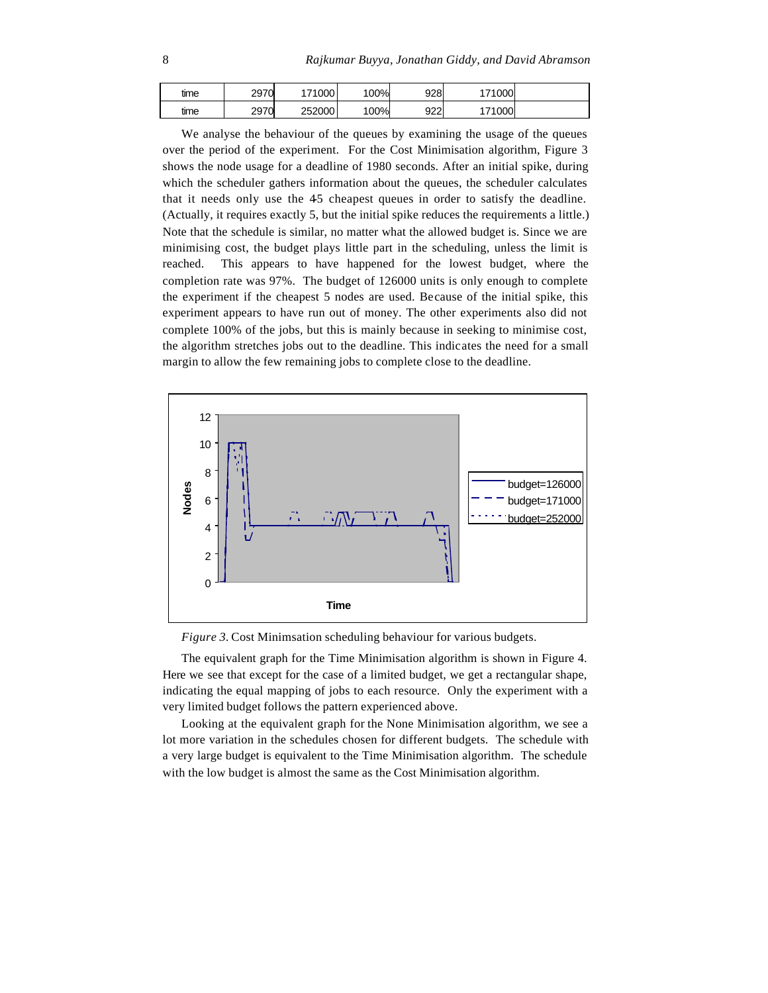| time | 2970 | 171000 | 00% | 928 | 171000l |  |
|------|------|--------|-----|-----|---------|--|
| time | 2970 | 252000 | 00% | 922 | 171000  |  |

We analyse the behaviour of the queues by examining the usage of the queues over the period of the experiment. For the Cost Minimisation algorithm, Figure 3 shows the node usage for a deadline of 1980 seconds. After an initial spike, during which the scheduler gathers information about the queues, the scheduler calculates that it needs only use the 45 cheapest queues in order to satisfy the deadline. (Actually, it requires exactly 5, but the initial spike reduces the requirements a little.) Note that the schedule is similar, no matter what the allowed budget is. Since we are minimising cost, the budget plays little part in the scheduling, unless the limit is reached. This appears to have happened for the lowest budget, where the completion rate was 97%. The budget of 126000 units is only enough to complete the experiment if the cheapest 5 nodes are used. Because of the initial spike, this experiment appears to have run out of money. The other experiments also did not complete 100% of the jobs, but this is mainly because in seeking to minimise cost, the algorithm stretches jobs out to the deadline. This indicates the need for a small margin to allow the few remaining jobs to complete close to the deadline.



*Figure 3.* Cost Minimsation scheduling behaviour for various budgets.

The equivalent graph for the Time Minimisation algorithm is shown in Figure 4. Here we see that except for the case of a limited budget, we get a rectangular shape, indicating the equal mapping of jobs to each resource. Only the experiment with a very limited budget follows the pattern experienced above.

Looking at the equivalent graph for the None Minimisation algorithm, we see a lot more variation in the schedules chosen for different budgets. The schedule with a very large budget is equivalent to the Time Minimisation algorithm. The schedule with the low budget is almost the same as the Cost Minimisation algorithm.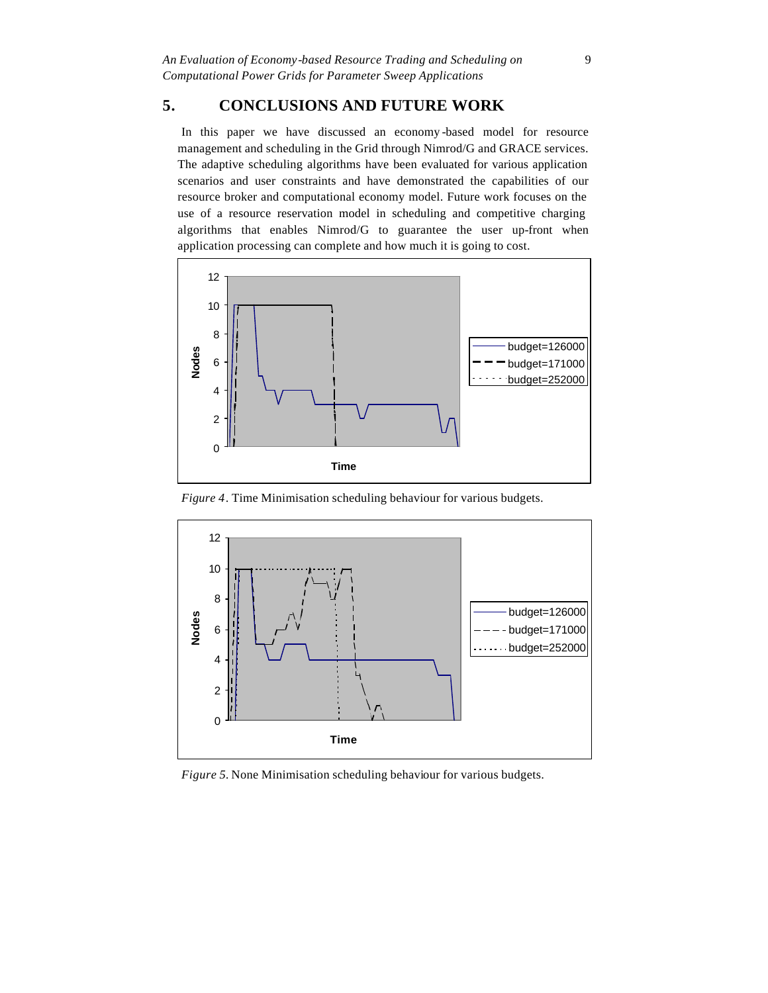# **5. CONCLUSIONS AND FUTURE WORK**

In this paper we have discussed an economy -based model for resource management and scheduling in the Grid through Nimrod/G and GRACE services. The adaptive scheduling algorithms have been evaluated for various application scenarios and user constraints and have demonstrated the capabilities of our resource broker and computational economy model. Future work focuses on the use of a resource reservation model in scheduling and competitive charging algorithms that enables Nimrod/G to guarantee the user up-front when application processing can complete and how much it is going to cost.



*Figure 4*. Time Minimisation scheduling behaviour for various budgets.



*Figure 5.* None Minimisation scheduling behaviour for various budgets.